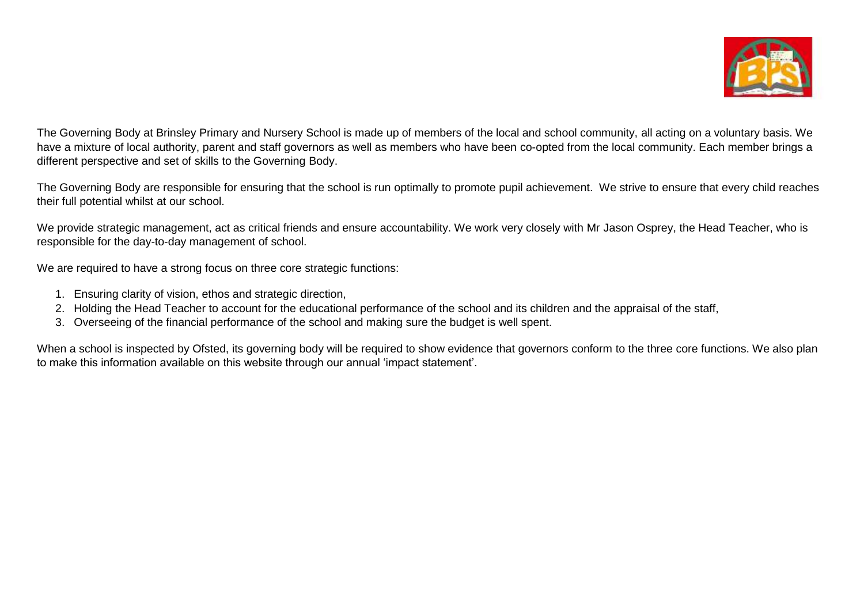

The Governing Body at Brinsley Primary and Nursery School is made up of members of the local and school community, all acting on a voluntary basis. We have a mixture of local authority, parent and staff governors as well as members who have been co-opted from the local community. Each member brings a different perspective and set of skills to the Governing Body.

The Governing Body are responsible for ensuring that the school is run optimally to promote pupil achievement. We strive to ensure that every child reaches their full potential whilst at our school.

We provide strategic management, act as critical friends and ensure accountability. We work very closely with Mr Jason Osprey, the Head Teacher, who is responsible for the day-to-day management of school.

We are required to have a strong focus on three core strategic functions:

- 1. Ensuring clarity of vision, ethos and strategic direction,
- 2. Holding the Head Teacher to account for the educational performance of the school and its children and the appraisal of the staff,
- 3. Overseeing of the financial performance of the school and making sure the budget is well spent.

When a school is inspected by Ofsted, its governing body will be required to show evidence that governors conform to the three core functions. We also plan to make this information available on this website through our annual 'impact statement'.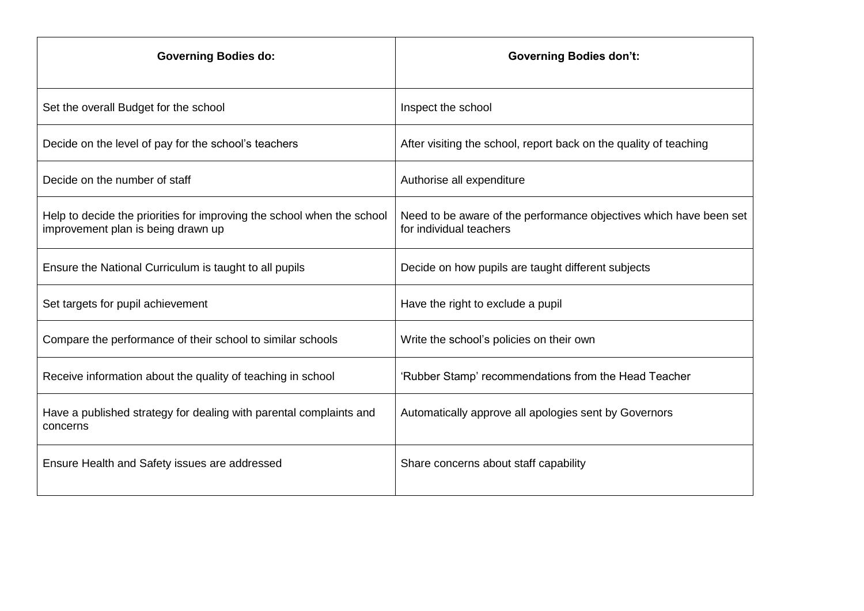| <b>Governing Bodies do:</b>                                                                                  | <b>Governing Bodies don't:</b>                                                                |
|--------------------------------------------------------------------------------------------------------------|-----------------------------------------------------------------------------------------------|
| Set the overall Budget for the school                                                                        | Inspect the school                                                                            |
| Decide on the level of pay for the school's teachers                                                         | After visiting the school, report back on the quality of teaching                             |
| Decide on the number of staff                                                                                | Authorise all expenditure                                                                     |
| Help to decide the priorities for improving the school when the school<br>improvement plan is being drawn up | Need to be aware of the performance objectives which have been set<br>for individual teachers |
| Ensure the National Curriculum is taught to all pupils                                                       | Decide on how pupils are taught different subjects                                            |
| Set targets for pupil achievement                                                                            | Have the right to exclude a pupil                                                             |
| Compare the performance of their school to similar schools                                                   | Write the school's policies on their own                                                      |
| Receive information about the quality of teaching in school                                                  | 'Rubber Stamp' recommendations from the Head Teacher                                          |
| Have a published strategy for dealing with parental complaints and<br>concerns                               | Automatically approve all apologies sent by Governors                                         |
| Ensure Health and Safety issues are addressed                                                                | Share concerns about staff capability                                                         |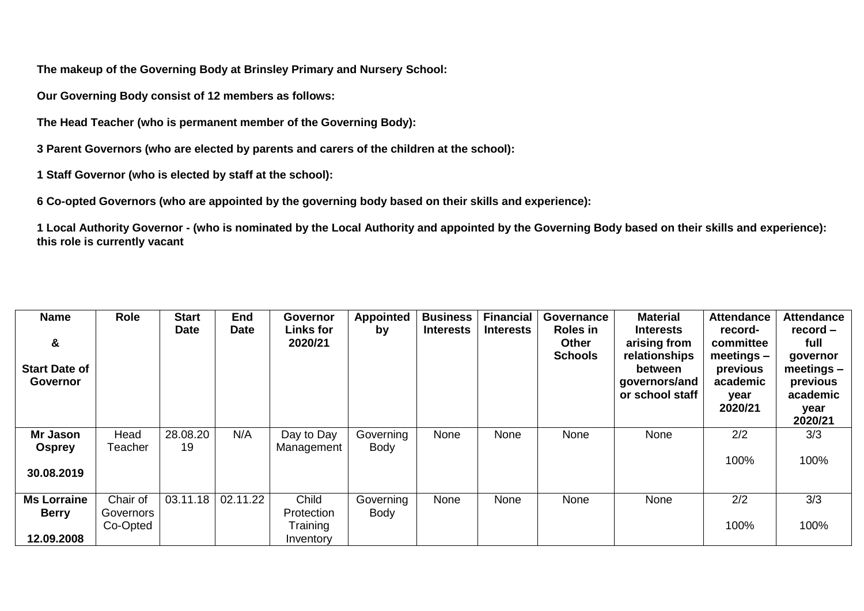**The makeup of the Governing Body at Brinsley Primary and Nursery School:**

**Our Governing Body consist of 12 members as follows:**

**The Head Teacher (who is permanent member of the Governing Body):**

**3 Parent Governors (who are elected by parents and carers of the children at the school):**

**1 Staff Governor (who is elected by staff at the school):**

**6 Co-opted Governors (who are appointed by the governing body based on their skills and experience):**

**1 Local Authority Governor - (who is nominated by the Local Authority and appointed by the Governing Body based on their skills and experience): this role is currently vacant**

| <b>Name</b><br>&<br><b>Start Date of</b><br>Governor | <b>Role</b>     | <b>Start</b><br><b>Date</b> | End<br>Date | Governor<br>Links for<br>2020/21 | <b>Appointed</b><br>by   | <b>Business</b><br><b>Interests</b> | <b>Financial</b><br><b>Interests</b> | Governance<br><b>Roles in</b><br><b>Other</b><br><b>Schools</b> | <b>Material</b><br><b>Interests</b><br>arising from<br>relationships<br>between<br>governors/and<br>or school staff | <b>Attendance</b><br>record-<br>committee<br>meetings $-$<br>previous<br>academic<br>year<br>2020/21 | <b>Attendance</b><br>$record -$<br>full<br>governor<br>$meetings -$<br>previous<br>academic<br>year<br>2020/21 |
|------------------------------------------------------|-----------------|-----------------------------|-------------|----------------------------------|--------------------------|-------------------------------------|--------------------------------------|-----------------------------------------------------------------|---------------------------------------------------------------------------------------------------------------------|------------------------------------------------------------------------------------------------------|----------------------------------------------------------------------------------------------------------------|
| Mr Jason<br><b>Osprey</b>                            | Head<br>Teacher | 28.08.20<br>19              | N/A         | Day to Day<br>Management         | Governing<br><b>Body</b> | None                                | None                                 | None                                                            | None                                                                                                                | 2/2                                                                                                  | 3/3                                                                                                            |
| 30.08.2019                                           |                 |                             |             |                                  |                          |                                     |                                      |                                                                 |                                                                                                                     | 100%                                                                                                 | 100%                                                                                                           |
| <b>Ms Lorraine</b>                                   | Chair of        | 03.11.18                    | 02.11.22    | Child                            | Governing                | None                                | None                                 | None                                                            | None                                                                                                                | 2/2                                                                                                  | 3/3                                                                                                            |
| <b>Berry</b>                                         | Governors       |                             |             | Protection                       | <b>Body</b>              |                                     |                                      |                                                                 |                                                                                                                     |                                                                                                      |                                                                                                                |
| 12.09.2008                                           | Co-Opted        |                             |             | Training<br>Inventory            |                          |                                     |                                      |                                                                 |                                                                                                                     | 100%                                                                                                 | 100%                                                                                                           |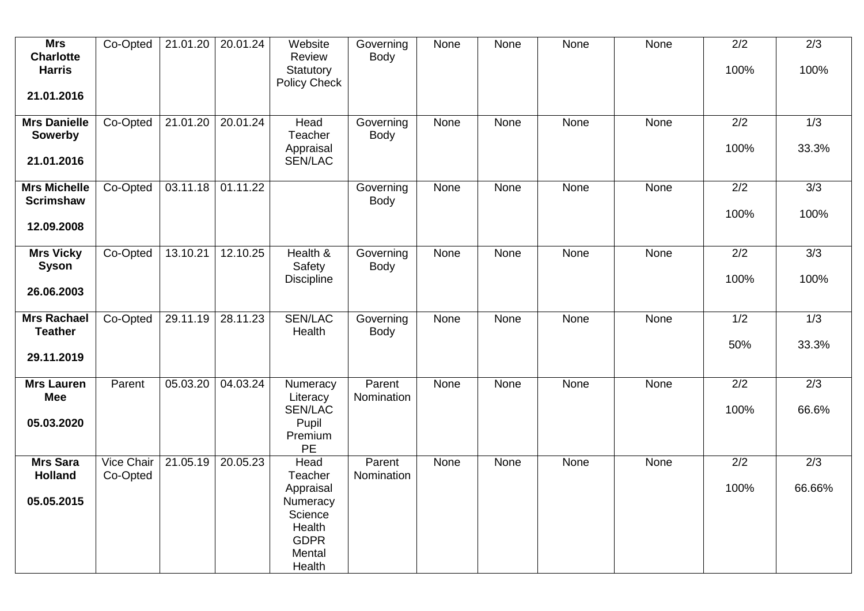| <b>Mrs</b><br><b>Charlotte</b><br><b>Harris</b><br>21.01.2016 | Co-Opted                      | 21.01.20 | 20.01.24 | Website<br>Review<br>Statutory<br><b>Policy Check</b>                                            | Governing<br>Body    | None        | None        | None | None | 2/2<br>100%              | $\overline{2/3}$<br>100%   |
|---------------------------------------------------------------|-------------------------------|----------|----------|--------------------------------------------------------------------------------------------------|----------------------|-------------|-------------|------|------|--------------------------|----------------------------|
| <b>Mrs Danielle</b><br>Sowerby<br>21.01.2016                  | Co-Opted                      | 21.01.20 | 20.01.24 | Head<br>Teacher<br>Appraisal<br>SEN/LAC                                                          | Governing<br>Body    | None        | None        | None | None | $\overline{2/2}$<br>100% | $\overline{1/3}$<br>33.3%  |
| <b>Mrs Michelle</b><br><b>Scrimshaw</b><br>12.09.2008         | Co-Opted                      | 03.11.18 | 01.11.22 |                                                                                                  | Governing<br>Body    | None        | None        | None | None | $\overline{2/2}$<br>100% | 3/3<br>100%                |
| <b>Mrs Vicky</b><br><b>Syson</b><br>26.06.2003                | Co-Opted                      | 13.10.21 | 12.10.25 | Health &<br>Safety<br><b>Discipline</b>                                                          | Governing<br>Body    | <b>None</b> | None        | None | None | $\overline{2/2}$<br>100% | $\overline{3/3}$<br>100%   |
| <b>Mrs Rachael</b><br><b>Teather</b><br>29.11.2019            | Co-Opted                      | 29.11.19 | 28.11.23 | <b>SEN/LAC</b><br>Health                                                                         | Governing<br>Body    | None        | <b>None</b> | None | None | 1/2<br>50%               | $\overline{1/3}$<br>33.3%  |
| <b>Mrs Lauren</b><br><b>Mee</b><br>05.03.2020                 | Parent                        | 05.03.20 | 04.03.24 | Numeracy<br>Literacy<br><b>SEN/LAC</b><br>Pupil<br>Premium<br>PE                                 | Parent<br>Nomination | None        | None        | None | None | 2/2<br>100%              | $\overline{2/3}$<br>66.6%  |
| <b>Mrs Sara</b><br><b>Holland</b><br>05.05.2015               | <b>Vice Chair</b><br>Co-Opted | 21.05.19 | 20.05.23 | Head<br>Teacher<br>Appraisal<br>Numeracy<br>Science<br>Health<br><b>GDPR</b><br>Mental<br>Health | Parent<br>Nomination | None        | None        | None | None | 2/2<br>100%              | $\overline{2/3}$<br>66.66% |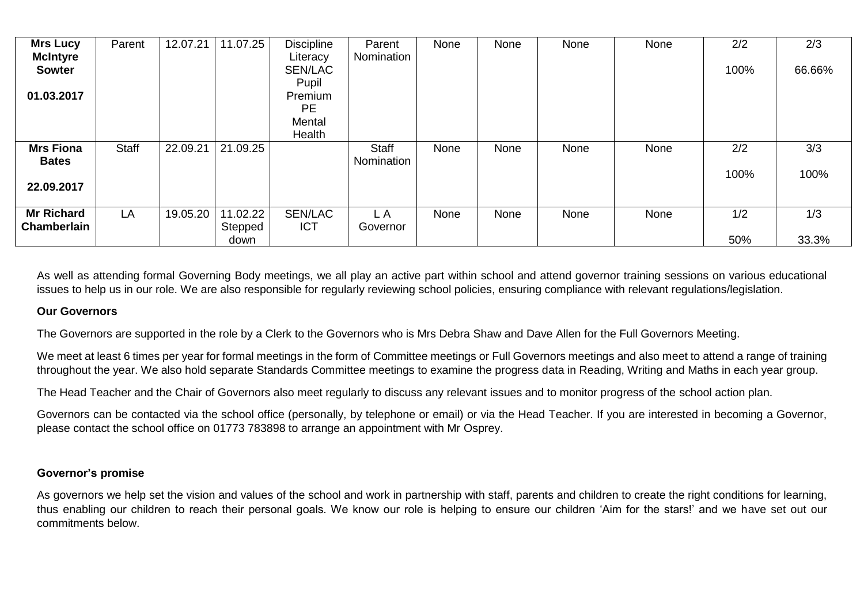| <b>Mrs Lucy</b><br><b>McIntyre</b><br><b>Sowter</b><br>01.03.2017 | Parent | 12.07.21 | 11.07.25                    | <b>Discipline</b><br>Literacy<br>SEN/LAC<br>Pupil<br>Premium<br><b>PE</b><br>Mental<br>Health | Parent<br>Nomination       | None | None | None | None | 2/2<br>100% | 2/3<br>66.66% |
|-------------------------------------------------------------------|--------|----------|-----------------------------|-----------------------------------------------------------------------------------------------|----------------------------|------|------|------|------|-------------|---------------|
| <b>Mrs Fiona</b><br><b>Bates</b><br>22.09.2017                    | Staff  | 22.09.21 | 21.09.25                    |                                                                                               | <b>Staff</b><br>Nomination | None | None | None | None | 2/2<br>100% | 3/3<br>100%   |
| <b>Mr Richard</b><br><b>Chamberlain</b>                           | LA     | 19.05.20 | 11.02.22<br>Stepped<br>down | <b>SEN/LAC</b><br><b>ICT</b>                                                                  | L A<br>Governor            | None | None | None | None | 1/2<br>50%  | 1/3<br>33.3%  |

As well as attending formal Governing Body meetings, we all play an active part within school and attend governor training sessions on various educational issues to help us in our role. We are also responsible for regularly reviewing school policies, ensuring compliance with relevant regulations/legislation.

## **Our Governors**

The Governors are supported in the role by a Clerk to the Governors who is Mrs Debra Shaw and Dave Allen for the Full Governors Meeting.

We meet at least 6 times per year for formal meetings in the form of Committee meetings or Full Governors meetings and also meet to attend a range of training throughout the year. We also hold separate Standards Committee meetings to examine the progress data in Reading, Writing and Maths in each year group.

The Head Teacher and the Chair of Governors also meet regularly to discuss any relevant issues and to monitor progress of the school action plan.

Governors can be contacted via the school office (personally, by telephone or email) or via the Head Teacher. If you are interested in becoming a Governor, please contact the school office on 01773 783898 to arrange an appointment with Mr Osprey.

## **Governor's promise**

As governors we help set the vision and values of the school and work in partnership with staff, parents and children to create the right conditions for learning, thus enabling our children to reach their personal goals. We know our role is helping to ensure our children 'Aim for the stars!' and we have set out our commitments below.